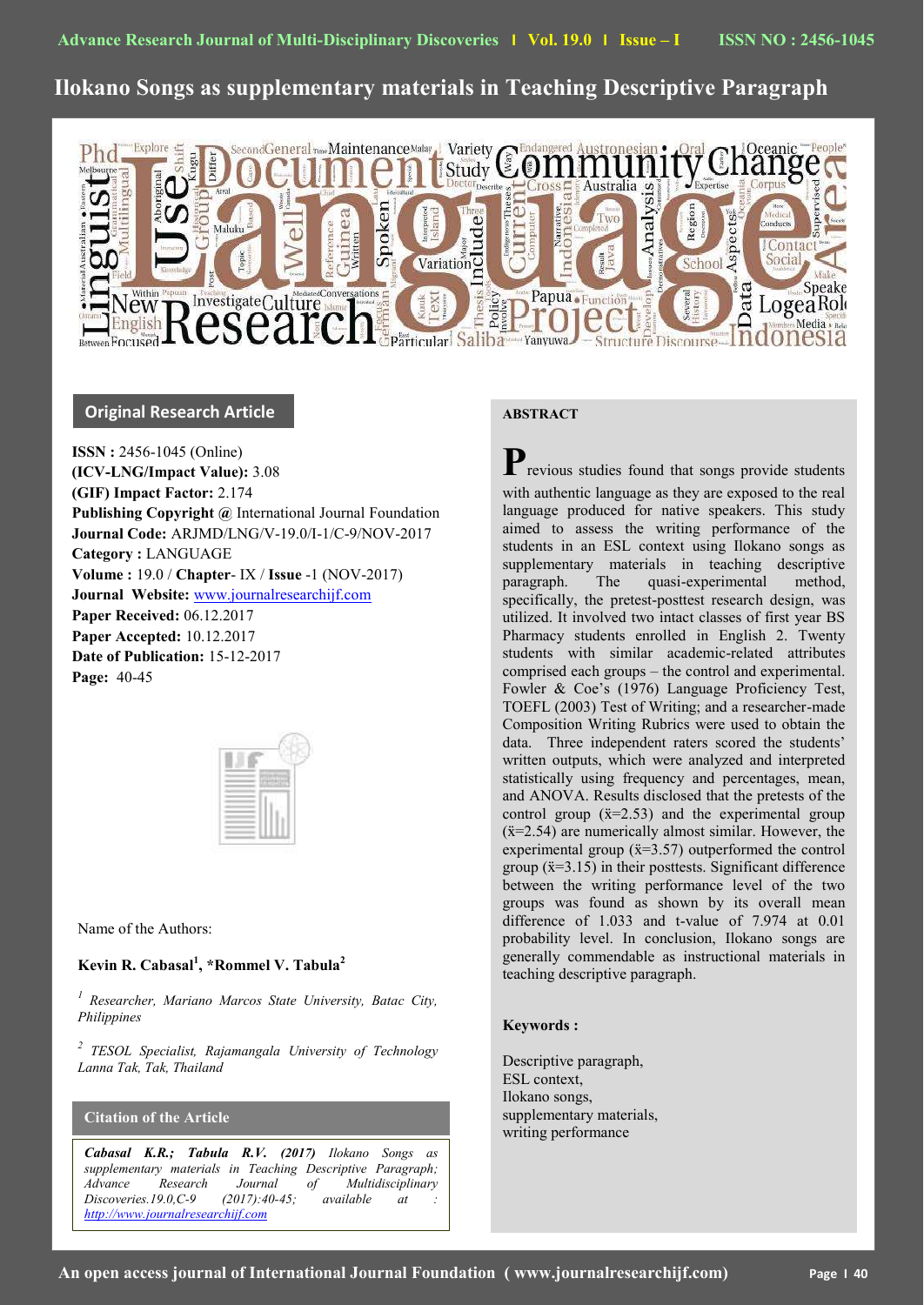# **Ilokano Songs as supplementary materials in Teaching Descriptive Paragraph**



## **Original Research Article**

**ISSN :** 2456-1045 (Online) **(ICV-LNG/Impact Value):** 3.08 **(GIF) Impact Factor:** 2.174 **Publishing Copyright @** International Journal Foundation **Journal Code:** ARJMD/LNG/V-19.0/I-1/C-9/NOV-2017 **Category :** LANGUAGE **Volume :** 19.0 / **Chapter**- IX / **Issue** -1 (NOV-2017) **Journal Website:** [www.journalresearchijf.com](http://www.journalresearchijf.com/) **Paper Received:** 06.12.2017 **Paper Accepted:** 10.12.2017 **Date of Publication:** 15-12-2017 **Page:** 40-45

| × |
|---|
|   |
|   |
|   |
|   |

Name of the Authors:

## **Kevin R. Cabasal<sup>1</sup> , \*Rommel V. Tabula<sup>2</sup>**

*1 Researcher, Mariano Marcos State University, Batac City, Philippines*

*2 TESOL Specialist, Rajamangala University of Technology Lanna Tak, Tak, Thailand*

## **Citation of the Article**

**e;**

*Cabasal K.R.; Tabula R.V. (2017) Ilokano Songs as supplementary materials in Teaching Descriptive Paragraph; Advance Research Journal of Multidisciplinary Discoveries.19.0,C-9 (2017):40-45; available at : [http://www.journalresearchijf.com](http://www.journalresearchijf.com/)*

## **ABSTRACT**

**P**revious studies found that songs provide students with authentic language as they are exposed to the real language produced for native speakers. This study aimed to assess the writing performance of the students in an ESL context using Ilokano songs as supplementary materials in teaching descriptive paragraph. The quasi-experimental method, specifically, the pretest-posttest research design, was utilized. It involved two intact classes of first year BS Pharmacy students enrolled in English 2. Twenty students with similar academic-related attributes comprised each groups – the control and experimental. Fowler & Coe's (1976) Language Proficiency Test, TOEFL (2003) Test of Writing; and a researcher-made Composition Writing Rubrics were used to obtain the data. Three independent raters scored the students' written outputs, which were analyzed and interpreted statistically using frequency and percentages, mean, and ANOVA. Results disclosed that the pretests of the control group  $(\bar{x}=2.53)$  and the experimental group  $(x=2.54)$  are numerically almost similar. However, the experimental group  $(\ddot{x}=3.57)$  outperformed the control group  $(\bar{x}=3.15)$  in their posttests. Significant difference between the writing performance level of the two groups was found as shown by its overall mean difference of 1.033 and t-value of 7.974 at 0.01 probability level. In conclusion, Ilokano songs are generally commendable as instructional materials in teaching descriptive paragraph.

## **Keywords :**

Descriptive paragraph, ESL context, Ilokano songs, supplementary materials, writing performance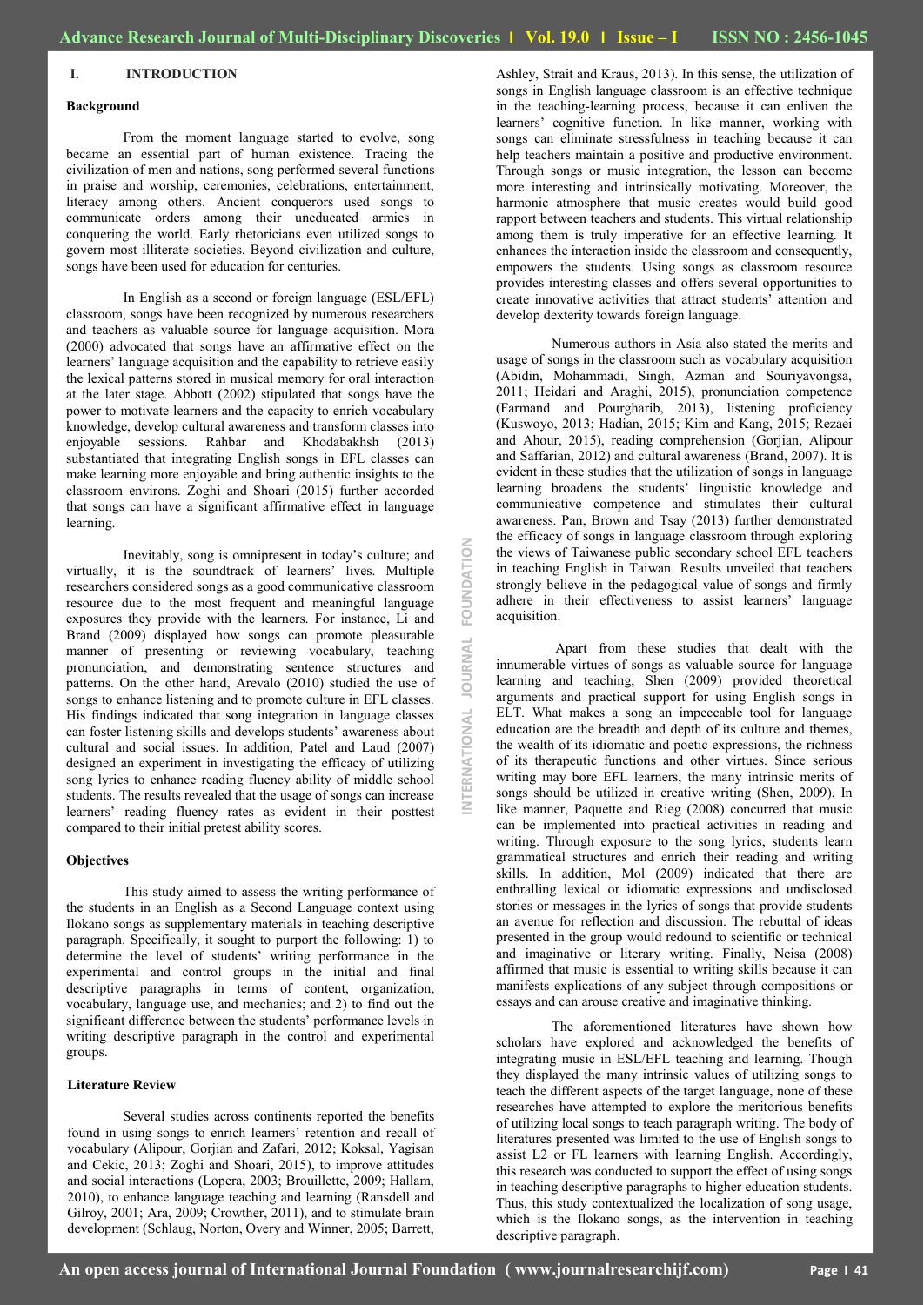## **I. INTRODUCTION**

## **Background**

From the moment language started to evolve, song became an essential part of human existence. Tracing the civilization of men and nations, song performed several functions in praise and worship, ceremonies, celebrations, entertainment, literacy among others. Ancient conquerors used songs to communicate orders among their uneducated armies in conquering the world. Early rhetoricians even utilized songs to govern most illiterate societies. Beyond civilization and culture, songs have been used for education for centuries.

In English as a second or foreign language (ESL/EFL) classroom, songs have been recognized by numerous researchers and teachers as valuable source for language acquisition. Mora (2000) advocated that songs have an affirmative effect on the learners' language acquisition and the capability to retrieve easily the lexical patterns stored in musical memory for oral interaction at the later stage. Abbott (2002) stipulated that songs have the power to motivate learners and the capacity to enrich vocabulary knowledge, develop cultural awareness and transform classes into enjoyable sessions. Rahbar and Khodabakhsh (2013) substantiated that integrating English songs in EFL classes can make learning more enjoyable and bring authentic insights to the classroom environs. Zoghi and Shoari (2015) further accorded that songs can have a significant affirmative effect in language learning.

Inevitably, song is omnipresent in today"s culture; and virtually, it is the soundtrack of learners' lives. Multiple researchers considered songs as a good communicative classroom resource due to the most frequent and meaningful language exposures they provide with the learners. For instance, Li and Brand (2009) displayed how songs can promote pleasurable manner of presenting or reviewing vocabulary, teaching pronunciation, and demonstrating sentence structures and patterns. On the other hand, Arevalo (2010) studied the use of songs to enhance listening and to promote culture in EFL classes. His findings indicated that song integration in language classes can foster listening skills and develops students' awareness about cultural and social issues. In addition, Patel and Laud (2007) designed an experiment in investigating the efficacy of utilizing song lyrics to enhance reading fluency ability of middle school students. The results revealed that the usage of songs can increase learners" reading fluency rates as evident in their posttest compared to their initial pretest ability scores.

#### **Objectives**

This study aimed to assess the writing performance of the students in an English as a Second Language context using Ilokano songs as supplementary materials in teaching descriptive paragraph. Specifically, it sought to purport the following: 1) to determine the level of students" writing performance in the experimental and control groups in the initial and final descriptive paragraphs in terms of content, organization, vocabulary, language use, and mechanics; and 2) to find out the significant difference between the students' performance levels in writing descriptive paragraph in the control and experimental groups.

### **Literature Review**

Several studies across continents reported the benefits found in using songs to enrich learners' retention and recall of vocabulary (Alipour, Gorjian and Zafari, 2012; Koksal, Yagisan and Cekic, 2013; Zoghi and Shoari, 2015), to improve attitudes and social interactions (Lopera, 2003; Brouillette, 2009; Hallam, 2010), to enhance language teaching and learning (Ransdell and Gilroy, 2001; Ara, 2009; Crowther, 2011), and to stimulate brain development (Schlaug, Norton, Overy and Winner, 2005; Barrett, Ashley, Strait and Kraus, 2013). In this sense, the utilization of songs in English language classroom is an effective technique in the teaching-learning process, because it can enliven the learners' cognitive function. In like manner, working with songs can eliminate stressfulness in teaching because it can help teachers maintain a positive and productive environment. Through songs or music integration, the lesson can become more interesting and intrinsically motivating. Moreover, the harmonic atmosphere that music creates would build good rapport between teachers and students. This virtual relationship among them is truly imperative for an effective learning. It enhances the interaction inside the classroom and consequently, empowers the students. Using songs as classroom resource provides interesting classes and offers several opportunities to create innovative activities that attract students" attention and develop dexterity towards foreign language.

Numerous authors in Asia also stated the merits and usage of songs in the classroom such as vocabulary acquisition (Abidin, Mohammadi, Singh, Azman and Souriyavongsa, 2011; Heidari and Araghi, 2015), pronunciation competence (Farmand and Pourgharib, 2013), listening proficiency (Kuswoyo, 2013; Hadian, 2015; Kim and Kang, 2015; Rezaei and Ahour, 2015), reading comprehension (Gorjian, Alipour and Saffarian, 2012) and cultural awareness (Brand, 2007). It is evident in these studies that the utilization of songs in language learning broadens the students" linguistic knowledge and communicative competence and stimulates their cultural awareness. Pan, Brown and Tsay (2013) further demonstrated the efficacy of songs in language classroom through exploring the views of Taiwanese public secondary school EFL teachers in teaching English in Taiwan. Results unveiled that teachers strongly believe in the pedagogical value of songs and firmly adhere in their effectiveness to assist learners' language acquisition.

Apart from these studies that dealt with the innumerable virtues of songs as valuable source for language learning and teaching, Shen (2009) provided theoretical arguments and practical support for using English songs in ELT. What makes a song an impeccable tool for language education are the breadth and depth of its culture and themes, the wealth of its idiomatic and poetic expressions, the richness of its therapeutic functions and other virtues. Since serious writing may bore EFL learners, the many intrinsic merits of songs should be utilized in creative writing (Shen, 2009). In like manner, Paquette and Rieg (2008) concurred that music can be implemented into practical activities in reading and writing. Through exposure to the song lyrics, students learn grammatical structures and enrich their reading and writing skills. In addition, Mol (2009) indicated that there are enthralling lexical or idiomatic expressions and undisclosed stories or messages in the lyrics of songs that provide students an avenue for reflection and discussion. The rebuttal of ideas presented in the group would redound to scientific or technical and imaginative or literary writing. Finally, Neisa (2008) affirmed that music is essential to writing skills because it can manifests explications of any subject through compositions or essays and can arouse creative and imaginative thinking.

The aforementioned literatures have shown how scholars have explored and acknowledged the benefits of integrating music in ESL/EFL teaching and learning. Though they displayed the many intrinsic values of utilizing songs to teach the different aspects of the target language, none of these researches have attempted to explore the meritorious benefits of utilizing local songs to teach paragraph writing. The body of literatures presented was limited to the use of English songs to assist L2 or FL learners with learning English. Accordingly, this research was conducted to support the effect of using songs in teaching descriptive paragraphs to higher education students. Thus, this study contextualized the localization of song usage, which is the Ilokano songs, as the intervention in teaching descriptive paragraph.

**INTERNATIONAL JOURNAL FOUNDATION**

OURNAL

*TERNATIONAL* 

 $\leq$ 

FOUNDATI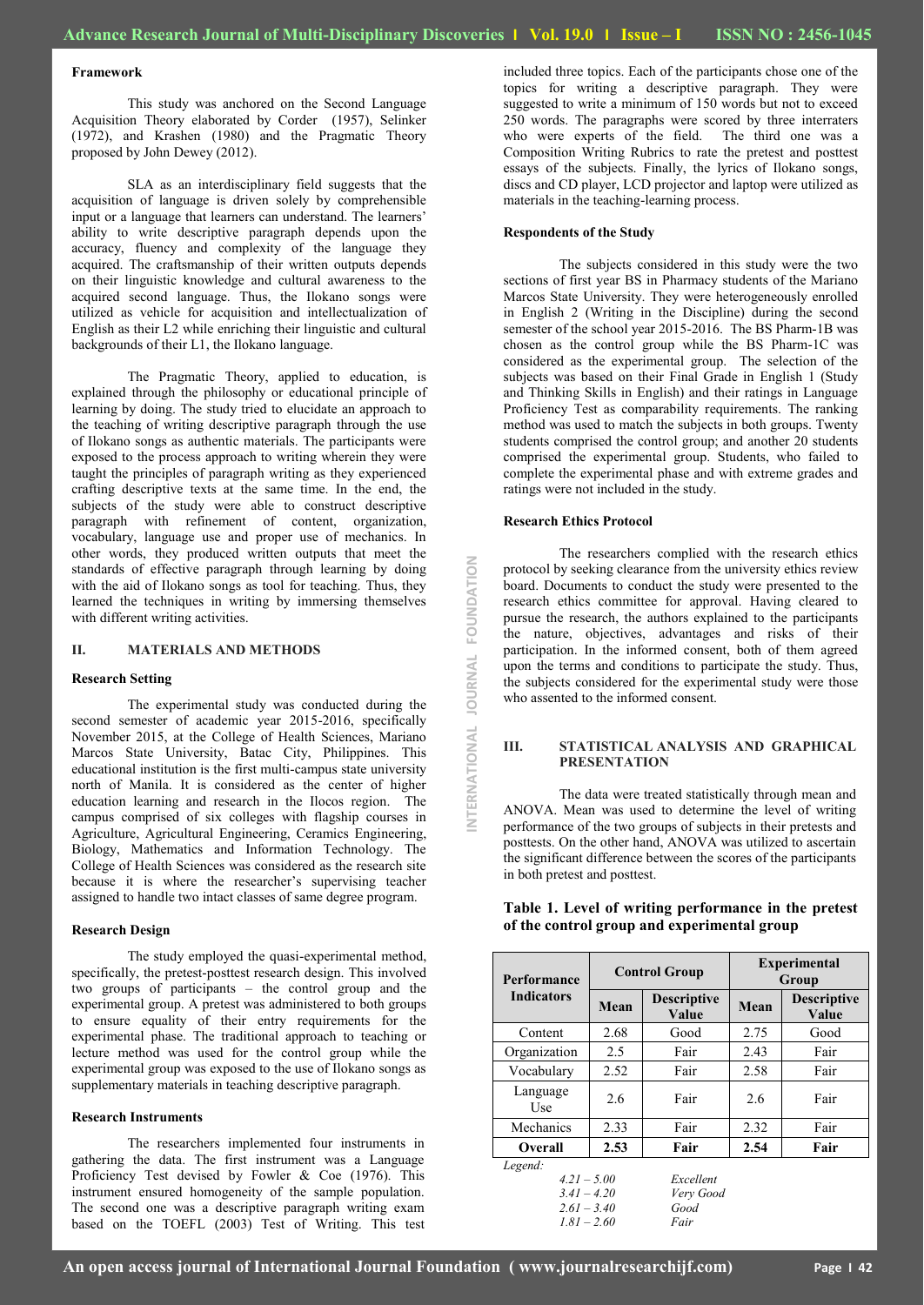**INTERNATIONAL JOURNAL FOUNDATION**NTERNATIONAL JOURNAL FOUNDATION

#### **Framework**

This study was anchored on the Second Language Acquisition Theory elaborated by Corder (1957), Selinker (1972), and Krashen (1980) and the Pragmatic Theory proposed by John Dewey (2012).

SLA as an interdisciplinary field suggests that the acquisition of language is driven solely by comprehensible input or a language that learners can understand. The learners' ability to write descriptive paragraph depends upon the accuracy, fluency and complexity of the language they acquired. The craftsmanship of their written outputs depends on their linguistic knowledge and cultural awareness to the acquired second language. Thus, the Ilokano songs were utilized as vehicle for acquisition and intellectualization of English as their L2 while enriching their linguistic and cultural backgrounds of their L1, the Ilokano language.

The Pragmatic Theory, applied to education, is explained through the philosophy or educational principle of learning by doing. The study tried to elucidate an approach to the teaching of writing descriptive paragraph through the use of Ilokano songs as authentic materials. The participants were exposed to the process approach to writing wherein they were taught the principles of paragraph writing as they experienced crafting descriptive texts at the same time. In the end, the subjects of the study were able to construct descriptive paragraph with refinement of content, organization, vocabulary, language use and proper use of mechanics. In other words, they produced written outputs that meet the standards of effective paragraph through learning by doing with the aid of Ilokano songs as tool for teaching. Thus, they learned the techniques in writing by immersing themselves with different writing activities.

#### **II. MATERIALS AND METHODS**

#### **Research Setting**

The experimental study was conducted during the second semester of academic year 2015-2016, specifically November 2015, at the College of Health Sciences, Mariano Marcos State University, Batac City, Philippines. This educational institution is the first multi-campus state university north of Manila. It is considered as the center of higher education learning and research in the Ilocos region. The campus comprised of six colleges with flagship courses in Agriculture, Agricultural Engineering, Ceramics Engineering, Biology, Mathematics and Information Technology. The College of Health Sciences was considered as the research site because it is where the researcher"s supervising teacher assigned to handle two intact classes of same degree program.

#### **Research Design**

The study employed the quasi-experimental method, specifically, the pretest-posttest research design. This involved two groups of participants – the control group and the experimental group. A pretest was administered to both groups to ensure equality of their entry requirements for the experimental phase. The traditional approach to teaching or lecture method was used for the control group while the experimental group was exposed to the use of Ilokano songs as supplementary materials in teaching descriptive paragraph.

#### **Research Instruments**

The researchers implemented four instruments in gathering the data. The first instrument was a Language Proficiency Test devised by Fowler & Coe (1976). This instrument ensured homogeneity of the sample population. The second one was a descriptive paragraph writing exam based on the TOEFL (2003) Test of Writing. This test included three topics. Each of the participants chose one of the topics for writing a descriptive paragraph. They were suggested to write a minimum of 150 words but not to exceed 250 words. The paragraphs were scored by three interraters who were experts of the field. The third one was a Composition Writing Rubrics to rate the pretest and posttest essays of the subjects. Finally, the lyrics of Ilokano songs, discs and CD player, LCD projector and laptop were utilized as materials in the teaching-learning process.

## **Respondents of the Study**

The subjects considered in this study were the two sections of first year BS in Pharmacy students of the Mariano Marcos State University. They were heterogeneously enrolled in English 2 (Writing in the Discipline) during the second semester of the school year 2015-2016. The BS Pharm-1B was chosen as the control group while the BS Pharm-1C was considered as the experimental group. The selection of the subjects was based on their Final Grade in English 1 (Study and Thinking Skills in English) and their ratings in Language Proficiency Test as comparability requirements. The ranking method was used to match the subjects in both groups. Twenty students comprised the control group; and another 20 students comprised the experimental group. Students, who failed to complete the experimental phase and with extreme grades and ratings were not included in the study.

## **Research Ethics Protocol**

The researchers complied with the research ethics protocol by seeking clearance from the university ethics review board. Documents to conduct the study were presented to the research ethics committee for approval. Having cleared to pursue the research, the authors explained to the participants the nature, objectives, advantages and risks of their participation. In the informed consent, both of them agreed upon the terms and conditions to participate the study. Thus, the subjects considered for the experimental study were those who assented to the informed consent.

## **III. STATISTICAL ANALYSIS AND GRAPHICAL PRESENTATION**

The data were treated statistically through mean and ANOVA. Mean was used to determine the level of writing performance of the two groups of subjects in their pretests and posttests. On the other hand, ANOVA was utilized to ascertain the significant difference between the scores of the participants in both pretest and posttest.

| Performance                                                | <b>Control Group</b> |                                     | <b>Experimental</b><br>Group |                             |
|------------------------------------------------------------|----------------------|-------------------------------------|------------------------------|-----------------------------|
| <b>Indicators</b>                                          | Mean                 | <b>Descriptive</b><br>Mean<br>Value |                              | <b>Descriptive</b><br>Value |
| Content                                                    | 2.68                 | Good                                | 2.75                         | Good                        |
| Organization                                               | 2.5                  | Fair                                | 2.43                         | Fair                        |
| Vocabulary                                                 | 2.52                 | Fair                                | 2.58                         | Fair                        |
| Language<br>Use                                            | 2.6                  | Fair                                | 2.6                          | Fair                        |
| Mechanics                                                  | 2.33                 | Fair                                | 2.32                         | Fair                        |
| <b>Overall</b>                                             | 2.53                 | Fair                                | 2.54                         | Fair                        |
| Legend:<br>$4.21 - 5.00$<br>$3.41 - 4.20$<br>$2.61 - 3.40$ |                      | Excellent<br>Very Good<br>Good      |                              |                             |

*1.81 – 2.60 Fair*

## **Table 1. Level of writing performance in the pretest of the control group and experimental group**

**An open access journal of International Journal Foundation ( www.journalresearchijf.com) Page I 42**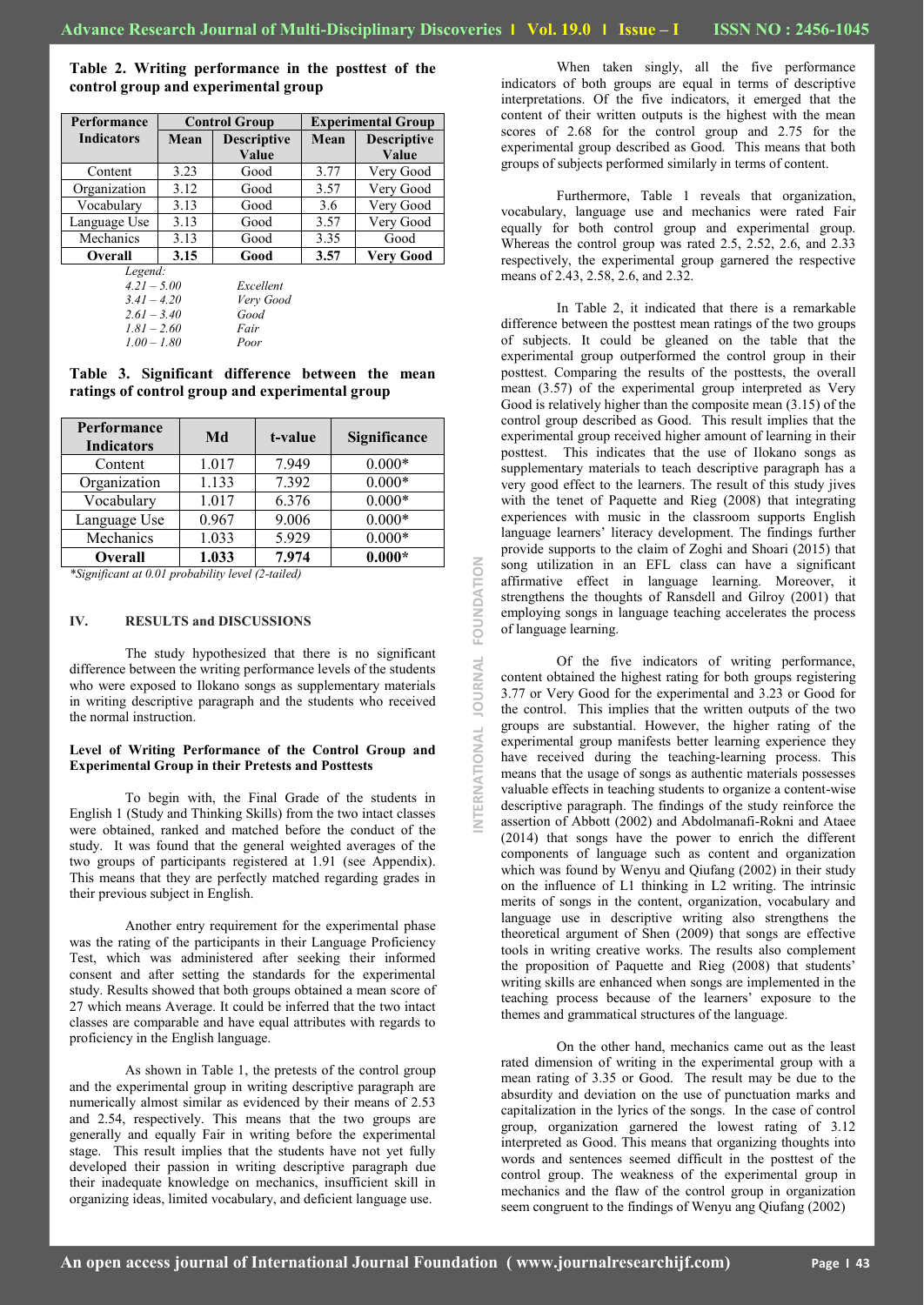**INTERNATIONAL JOURNAL FOUNDATION**

NTERNATIONAL JOURNAL

FOUNDATION

**Table 2. Writing performance in the posttest of the control group and experimental group Performance Control Group Experimental Group**

| <b>Indicators</b>      | Mean<br><b>Descriptive</b> |           | Mean<br><b>Descriptive</b> |           |
|------------------------|----------------------------|-----------|----------------------------|-----------|
|                        | Value                      |           |                            | Value     |
| Content                | 3.23                       | Good      | 3.77                       | Very Good |
| Organization           | 3.12                       | Good      | 3.57                       | Very Good |
| Vocabulary             | 3.13                       | Good      | 3.6                        | Very Good |
| Language Use           | 3.13                       |           | 3.57                       | Very Good |
| Mechanics              | 3.13                       |           | 3.35                       | Good      |
| 3.15<br><b>Overall</b> |                            | Good      | 3.57                       | Very Good |
| Legend:                |                            |           |                            |           |
| $4.21 - 5.00$          |                            | Excellent |                            |           |
| $3.41 - 4.20$          |                            | Very Good |                            |           |
| $2.61 - 3.40$          |                            | Good      |                            |           |
| $1.81 - 2.60$          |                            | Fair      |                            |           |
| $1.00 - 1.80$          |                            | Poor      |                            |           |

**Table 3. Significant difference between the mean ratings of control group and experimental group** 

| <b>Performance</b><br><b>Indicators</b> | Md    | t-value | Significance |
|-----------------------------------------|-------|---------|--------------|
| Content                                 | 1.017 | 7.949   | $0.000*$     |
| Organization                            | 1.133 | 7.392   | $0.000*$     |
| Vocabulary                              | 1.017 | 6.376   | $0.000*$     |
| Language Use                            | 0.967 | 9.006   | $0.000*$     |
| Mechanics                               | 1.033 | 5.929   | $0.000*$     |
| <b>Overall</b>                          | 1.033 | 7.974   | $0.000*$     |

*\*Significant at 0.01 probability level (2-tailed)*

### **IV. RESULTS and DISCUSSIONS**

The study hypothesized that there is no significant difference between the writing performance levels of the students who were exposed to Ilokano songs as supplementary materials in writing descriptive paragraph and the students who received the normal instruction.

## **Level of Writing Performance of the Control Group and Experimental Group in their Pretests and Posttests**

To begin with, the Final Grade of the students in English 1 (Study and Thinking Skills) from the two intact classes were obtained, ranked and matched before the conduct of the study. It was found that the general weighted averages of the two groups of participants registered at 1.91 (see Appendix). This means that they are perfectly matched regarding grades in their previous subject in English.

Another entry requirement for the experimental phase was the rating of the participants in their Language Proficiency Test, which was administered after seeking their informed consent and after setting the standards for the experimental study. Results showed that both groups obtained a mean score of 27 which means Average. It could be inferred that the two intact classes are comparable and have equal attributes with regards to proficiency in the English language.

As shown in Table 1, the pretests of the control group and the experimental group in writing descriptive paragraph are numerically almost similar as evidenced by their means of 2.53 and 2.54, respectively. This means that the two groups are generally and equally Fair in writing before the experimental stage. This result implies that the students have not yet fully developed their passion in writing descriptive paragraph due their inadequate knowledge on mechanics, insufficient skill in organizing ideas, limited vocabulary, and deficient language use.

When taken singly, all the five performance indicators of both groups are equal in terms of descriptive interpretations. Of the five indicators, it emerged that the content of their written outputs is the highest with the mean scores of 2.68 for the control group and 2.75 for the experimental group described as Good. This means that both groups of subjects performed similarly in terms of content.

Furthermore, Table 1 reveals that organization, vocabulary, language use and mechanics were rated Fair equally for both control group and experimental group. Whereas the control group was rated 2.5, 2.52, 2.6, and 2.33 respectively, the experimental group garnered the respective means of 2.43, 2.58, 2.6, and 2.32.

In Table 2, it indicated that there is a remarkable difference between the posttest mean ratings of the two groups of subjects. It could be gleaned on the table that the experimental group outperformed the control group in their posttest. Comparing the results of the posttests, the overall mean (3.57) of the experimental group interpreted as Very Good is relatively higher than the composite mean (3.15) of the control group described as Good. This result implies that the experimental group received higher amount of learning in their posttest. This indicates that the use of Ilokano songs as supplementary materials to teach descriptive paragraph has a very good effect to the learners. The result of this study jives with the tenet of Paquette and Rieg (2008) that integrating experiences with music in the classroom supports English language learners' literacy development. The findings further provide supports to the claim of Zoghi and Shoari (2015) that song utilization in an EFL class can have a significant affirmative effect in language learning. Moreover, it strengthens the thoughts of Ransdell and Gilroy (2001) that employing songs in language teaching accelerates the process of language learning.

Of the five indicators of writing performance, content obtained the highest rating for both groups registering 3.77 or Very Good for the experimental and 3.23 or Good for the control. This implies that the written outputs of the two groups are substantial. However, the higher rating of the experimental group manifests better learning experience they have received during the teaching-learning process. This means that the usage of songs as authentic materials possesses valuable effects in teaching students to organize a content-wise descriptive paragraph. The findings of the study reinforce the assertion of Abbott (2002) and Abdolmanafi-Rokni and Ataee (2014) that songs have the power to enrich the different components of language such as content and organization which was found by Wenyu and Qiufang (2002) in their study on the influence of L1 thinking in L2 writing. The intrinsic merits of songs in the content, organization, vocabulary and language use in descriptive writing also strengthens the theoretical argument of Shen (2009) that songs are effective tools in writing creative works. The results also complement the proposition of Paquette and Rieg (2008) that students" writing skills are enhanced when songs are implemented in the teaching process because of the learners" exposure to the themes and grammatical structures of the language.

On the other hand, mechanics came out as the least rated dimension of writing in the experimental group with a mean rating of 3.35 or Good. The result may be due to the absurdity and deviation on the use of punctuation marks and capitalization in the lyrics of the songs. In the case of control group, organization garnered the lowest rating of 3.12 interpreted as Good. This means that organizing thoughts into words and sentences seemed difficult in the posttest of the control group. The weakness of the experimental group in mechanics and the flaw of the control group in organization seem congruent to the findings of Wenyu ang Qiufang (2002)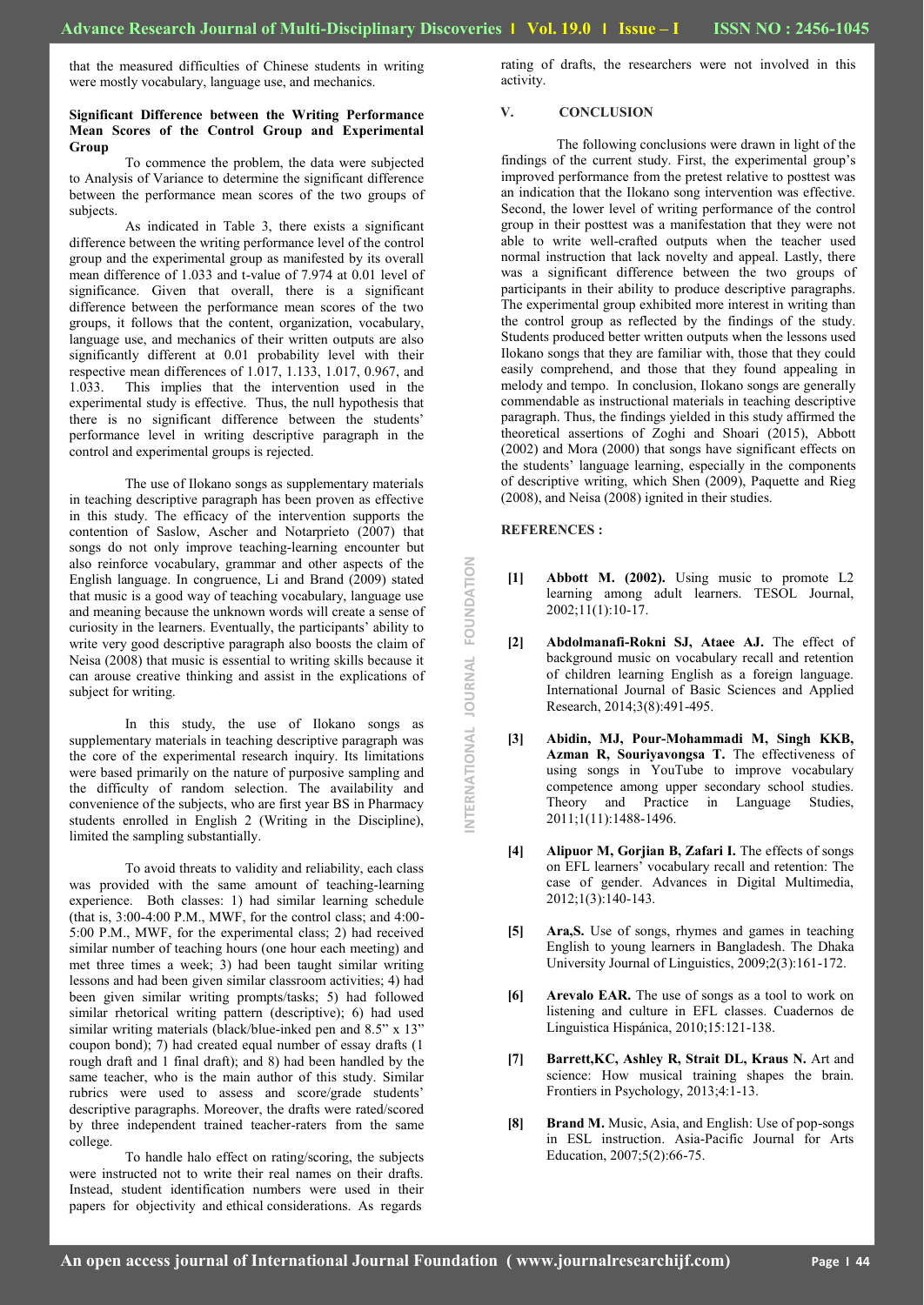that the measured difficulties of Chinese students in writing were mostly vocabulary, language use, and mechanics.

### **Significant Difference between the Writing Performance Mean Scores of the Control Group and Experimental Group**

To commence the problem, the data were subjected to Analysis of Variance to determine the significant difference between the performance mean scores of the two groups of subjects.

As indicated in Table 3, there exists a significant difference between the writing performance level of the control group and the experimental group as manifested by its overall mean difference of 1.033 and t-value of 7.974 at 0.01 level of significance. Given that overall, there is a significant difference between the performance mean scores of the two groups, it follows that the content, organization, vocabulary, language use, and mechanics of their written outputs are also significantly different at 0.01 probability level with their respective mean differences of 1.017, 1.133, 1.017, 0.967, and 1.033. This implies that the intervention used in the experimental study is effective. Thus, the null hypothesis that there is no significant difference between the students' performance level in writing descriptive paragraph in the control and experimental groups is rejected.

The use of Ilokano songs as supplementary materials in teaching descriptive paragraph has been proven as effective in this study. The efficacy of the intervention supports the contention of Saslow, Ascher and Notarprieto (2007) that songs do not only improve teaching-learning encounter but also reinforce vocabulary, grammar and other aspects of the English language. In congruence, Li and Brand (2009) stated that music is a good way of teaching vocabulary, language use and meaning because the unknown words will create a sense of curiosity in the learners. Eventually, the participants' ability to write very good descriptive paragraph also boosts the claim of Neisa (2008) that music is essential to writing skills because it can arouse creative thinking and assist in the explications of subject for writing.

In this study, the use of Ilokano songs as supplementary materials in teaching descriptive paragraph was the core of the experimental research inquiry. Its limitations were based primarily on the nature of purposive sampling and the difficulty of random selection. The availability and convenience of the subjects, who are first year BS in Pharmacy students enrolled in English 2 (Writing in the Discipline), limited the sampling substantially.

To avoid threats to validity and reliability, each class was provided with the same amount of teaching-learning experience. Both classes: 1) had similar learning schedule (that is, 3:00-4:00 P.M., MWF, for the control class; and 4:00- 5:00 P.M., MWF, for the experimental class; 2) had received similar number of teaching hours (one hour each meeting) and met three times a week; 3) had been taught similar writing lessons and had been given similar classroom activities; 4) had been given similar writing prompts/tasks; 5) had followed similar rhetorical writing pattern (descriptive); 6) had used similar writing materials (black/blue-inked pen and 8.5" x 13" coupon bond); 7) had created equal number of essay drafts (1 rough draft and 1 final draft); and 8) had been handled by the same teacher, who is the main author of this study. Similar rubrics were used to assess and score/grade students" descriptive paragraphs. Moreover, the drafts were rated/scored by three independent trained teacher-raters from the same college.

To handle halo effect on rating/scoring, the subjects were instructed not to write their real names on their drafts. Instead, student identification numbers were used in their papers for objectivity and ethical considerations. As regards

rating of drafts, the researchers were not involved in this activity.

## **V. CONCLUSION**

The following conclusions were drawn in light of the findings of the current study. First, the experimental group"s improved performance from the pretest relative to posttest was an indication that the Ilokano song intervention was effective. Second, the lower level of writing performance of the control group in their posttest was a manifestation that they were not able to write well-crafted outputs when the teacher used normal instruction that lack novelty and appeal. Lastly, there was a significant difference between the two groups of participants in their ability to produce descriptive paragraphs. The experimental group exhibited more interest in writing than the control group as reflected by the findings of the study. Students produced better written outputs when the lessons used Ilokano songs that they are familiar with, those that they could easily comprehend, and those that they found appealing in melody and tempo. In conclusion, Ilokano songs are generally commendable as instructional materials in teaching descriptive paragraph. Thus, the findings yielded in this study affirmed the theoretical assertions of Zoghi and Shoari (2015), Abbott (2002) and Mora (2000) that songs have significant effects on the students" language learning, especially in the components of descriptive writing, which Shen (2009), Paquette and Rieg (2008), and Neisa (2008) ignited in their studies.

## **REFERENCES :**

**INTERNATIONAL JOURNAL FOUNDATION**NTERNATIONAL JOURNAL FOUNDATION

- **[1] Abbott M. (2002).** Using music to promote L2 learning among adult learners. TESOL Journal, 2002;11(1):10-17.
- **[2] Abdolmanafi-Rokni SJ, Ataee AJ.** The effect of background music on vocabulary recall and retention of children learning English as a foreign language. International Journal of Basic Sciences and Applied Research, 2014;3(8):491-495.
- **[3] Abidin, MJ, Pour-Mohammadi M, Singh KKB, Azman R, Souriyavongsa T.** The effectiveness of using songs in YouTube to improve vocabulary competence among upper secondary school studies. Theory and Practice in Language Studies, 2011;1(11):1488-1496.
- **[4] Alipuor M, Gorjian B, Zafari I.** The effects of songs on EFL learners" vocabulary recall and retention: The case of gender. Advances in Digital Multimedia, 2012;1(3):140-143.
- **[5] Ara,S.** Use of songs, rhymes and games in teaching English to young learners in Bangladesh. The Dhaka University Journal of Linguistics, 2009;2(3):161-172.
- **[6] Arevalo EAR.** The use of songs as a tool to work on listening and culture in EFL classes. Cuadernos de Linguistica Hispánica, 2010;15:121-138.
- **[7] Barrett,KC, Ashley R, Strait DL, Kraus N.** Art and science: How musical training shapes the brain. Frontiers in Psychology, 2013;4:1-13.
- **[8] Brand M.** Music, Asia, and English: Use of pop-songs in ESL instruction. Asia-Pacific Journal for Arts Education, 2007;5(2):66-75.